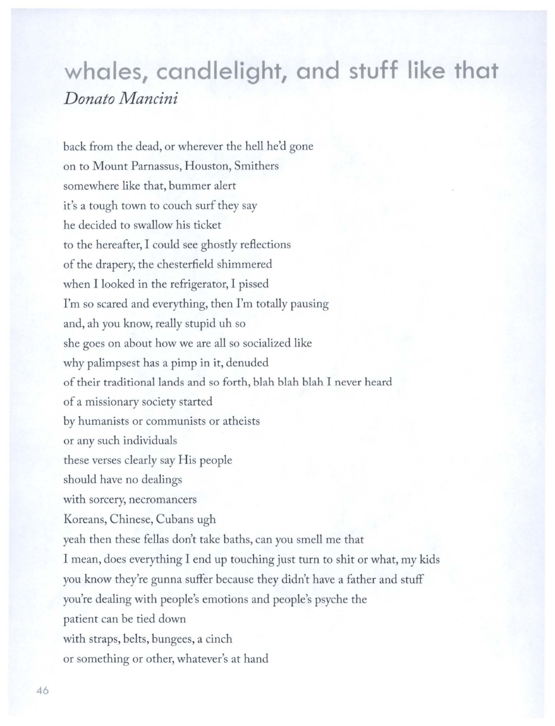## **whales, candlelight, and stuff like that**  *Donato Mancini*

back from the dead, or wherever the hell he'd gone on to Mount Parnassus, Houston, Smithers somewhere like that, bummer alert it's a tough town to couch surf they say he decided to swallow his ticket to the hereafter, I could see ghostly reflections of the drapery, the chesterfield shimmered when I looked in the refrigerator, I pissed I'm so scared and everything, then I'm totally pausing and, ah you know, really stupid uh so she goes on about how we are all so socialized like why palimpsest has a pimp in it, denuded of their traditional lands and so forth, blah blah blah I never heard of a missionary society started by humanists or communists or atheists or any such individuals these verses clearly say His people should have no dealings with sorcery, necromancers Koreans, Chinese, Cubans ugh yeah then these fellas don't take baths, can you smell me that I mean, does everything I end up touching just turn to shit or what, my kids you know they're gunna suffer because they didn't have a father and stuff you're dealing with people's emotions and people's psyche the patient can be tied down with straps, belts, bungees, a cinch or something or other, whatever's at hand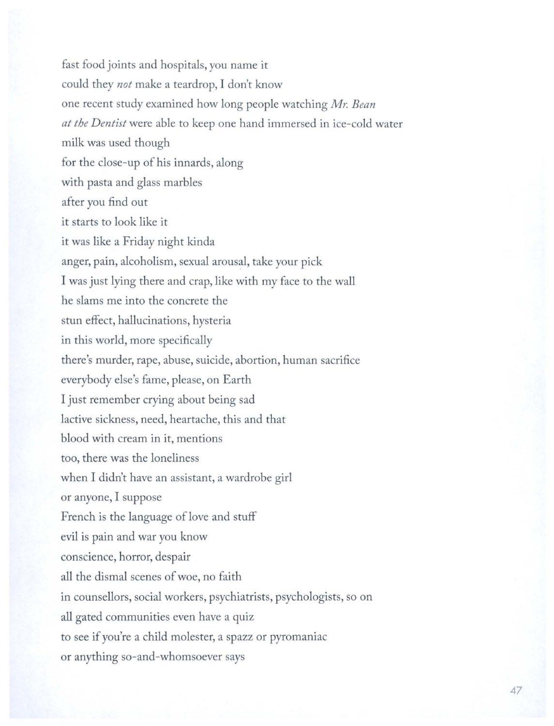fast food joints and hospitals, you name it could they *not* make a teardrop, I don't know one recent study examined how long people watching *Mr. Bean at the Dentist* were able to keep one hand immersed in ice-cold water milk was used though for the close-up of his innards, along with pasta and glass marbles after you find out it starts to look like it it was like a Friday night kinda anger, pain, alcoholism, sexual arousal, take your pick I was just lying there and crap, like with my face to the wall he slams me into the concrete the stun effect, hallucinations, hysteria in this world, more specifically there's murder, rape, abuse, suicide, abortion, human sacrifice everybody else's fame, please, on Earth I just remember crying about being sad lactive sickness, need, heartache, this and that blood with cream in it, mentions too, there was the loneliness when I didn't have an assistant, a wardrobe girl or anyone, I suppose French is the language of love and stuff evil is pain and war you know conscience, horror, despair all the dismal scenes of woe, no faith in counsellors, social workers, psychiatrists, psychologists, so on all gated communities even have a quiz to see if you're a child molester, a spazz or pyromaniac or anything so-and-whomsoever says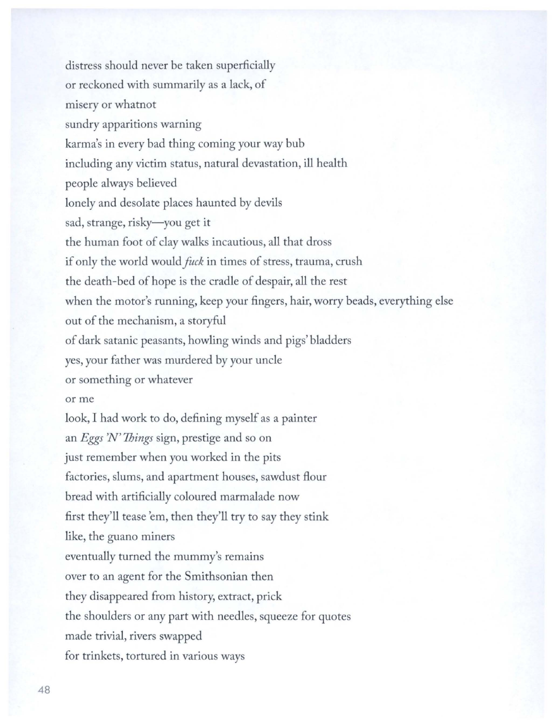distress should never be taken superficially or reckoned with summarily as a lack, of misery or whatnot sundry apparitions warning karma's in every bad thing coming your way bub including any victim status, natural devastation, ill health people always believed lonely and desolate places haunted by devils sad, strange, risky-you get it the human foot of clay walks incautious, all that dross if only the world would *fuck* in times of stress, trauma, crush the death-bed of hope is the cradle of despair, all the rest when the motor's running, keep your fingers, hair, worry beads, everything else out of the mechanism, a storyful of dark satanic peasants, howling winds and pigs' bladders yes, your father was murdered by your uncle or something or whatever or me look, I had work to do, defining myself as a painter an *Eggs* 'N' *Things* sign, prestige and so on just remember when you worked in the pits factories, slums, and apartment houses, sawdust flour bread with artificially coloured marmalade now first they'll tease 'em, then they'll try to say they stink like, the guano miners eventually turned the mummy's remains over to an agent for the Smithsonian then they disappeared from history, extract, prick the shoulders or any part with needles, squeeze for quotes made trivial, rivers swapped for trinkets, tortured in various ways